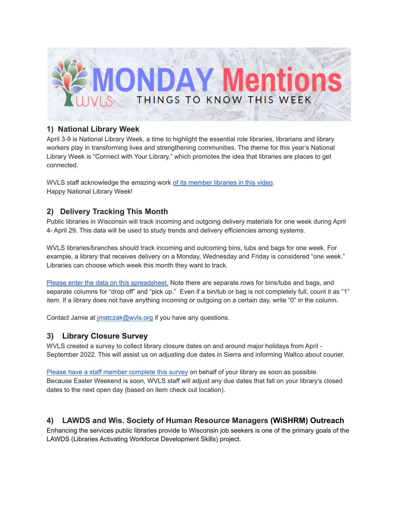

## **1) National Library Week**

April 3-9 is National Library Week, a time to highlight the essential role libraries, librarians and library workers play in transforming lives and strengthening communities. The theme for this year's National Library Week is "Connect with Your Library," which promotes the idea that libraries are places to get connected.

WVLS staff acknowledge the amazing work of its [member](https://youtu.be/OhnibSuwSjE) libraries in this video. Happy National Library Week!

# **2) Delivery Tracking This Month**

Public libraries in Wisconsin will track incoming and outgoing delivery materials for one week during April 4- April 29. This data will be used to study trends and delivery efficiencies among systems.

WVLS libraries/branches should track incoming and outcoming bins, tubs and bags for one week. For example, a library that receives delivery on a Monday, Wednesday and Friday is considered "one week." Libraries can choose which week this month they want to track.

Please enter the data on this [spreadsheet.](https://docs.google.com/spreadsheets/d/1gnVFPmPEIQCuguckUr1KOMBP3qB3mxA2XL0YH-sGdLg/edit?usp=sharing) Note there are separate rows for bins/tubs and bags, and separate columns for "drop off" and "pick up." Even if a bin/tub or bag is not completely full, count it as "1" item. If a library does not have anything incoming or outgoing on a certain day, write "0" in the column.

Contact Jamie at [jmatczak@wvls.org](mailto:jmatczak@wvls.org) if you have any questions.

# **3) Library Closure Survey**

WVLS created a survey to collect library closure dates on and around major holidays from April - September 2022. This will assist us on adjusting due dates in Sierra and informing Waltco about courier.

Please have a staff member [complete](https://forms.gle/dVgeP9dqCAb2xMGY7) this survey on behalf of your library as soon as possible. Because Easter Weekend is soon, WVLS staff will adjust any due dates that fall on your library's closed dates to the next open day (based on item check out location).

### **4) LAWDS and Wis. Society of Human Resource Managers (WiSHRM) Outreach**

Enhancing the services public libraries provide to Wisconsin job seekers is one of the primary goals of the LAWDS (Libraries Activating Workforce Development Skills) project.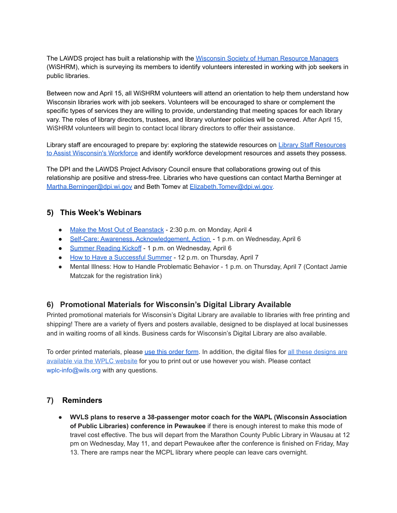The LAWDS project has built a relationship with the [Wisconsin](https://www.wishrm.org/) Society of Human Resource Managers (WiSHRM), which is surveying its members to identify volunteers interested in working with job seekers in public libraries.

Between now and April 15, all WiSHRM volunteers will attend an orientation to help them understand how Wisconsin libraries work with job seekers. Volunteers will be encouraged to share or complement the specific types of services they are willing to provide, understanding that meeting spaces for each library vary. The roles of library directors, trustees, and library volunteer policies will be covered. After April 15, WiSHRM volunteers will begin to contact local library directors to offer their assistance.

Library staff are encouraged to prepare by: exploring the statewide resources on Library Staff [Resources](https://dpi.wi.gov/pld/workforce-assistance) to Assist [Wisconsin's](https://dpi.wi.gov/pld/workforce-assistance) Workforce and identify workforce development resources and assets they possess.

The DPI and the LAWDS Project Advisory Council ensure that collaborations growing out of this relationship are positive and stress-free. Libraries who have questions can contact Martha Berninger at [Martha.Berninger@dpi.wi.gov](mailto:Martha.Berninger@dpi.wi.gov) and Beth Tomev at [Elizabeth.Tomev@dpi.wi.gov.](mailto:Elizabeth.Tomev@dpi.wi.gov)

### **5) This Week's Webinars**

- Make the Most Out of [Beanstack](https://zoobean.zoom.us/webinar/register/WN_Gq7yjEtvTYW7HRptVEVsjQ?timezone_id=America%2FChicago) 2:30 p.m. on Monday, April 4
- Self-Care: Awareness, [Acknowledgement,](https://us02web.zoom.us/webinar/register/WN_krpr_021TNWuGcqg5xfC8w?fbclid=IwAR3zfTOxLp31_2cAwM0R-zMaj9_WrA6d-RxqN5vVQRJMYzSbTsZRCBnZkB0) Action 1 p.m. on Wednesday, April 6
- [Summer](https://more.ebsco.com/US-2022-04-06-WBN-Summer-Reading-Kickoff.html?utm_medium=webinar&utm_source=pl_cp_us_novelist&utm_campaign=novelist_summer-reading-kickoff_NOVPOST_20220406) Reading Kickoff 1 p.m. on Wednesday, April 6
- How to Have a [Successful](https://zoobean.zoom.us/webinar/register/WN_Ne35vaPoTIaZCqYIYrsSTQ?timezone_id=America%2FChicago) Summer 12 p.m. on Thursday, April 7
- Mental Illness: How to Handle Problematic Behavior 1 p.m. on Thursday, April 7 (Contact Jamie Matczak for the registration link)

# **6) Promotional Materials for Wisconsin's Digital Library Available**

Printed promotional materials for Wisconsin's Digital Library are available to libraries with free printing and shipping! There are a variety of flyers and posters available, designed to be displayed at local businesses and in waiting rooms of all kinds. Business cards for Wisconsin's Digital Library are also available.

To [order](https://forms.gle/ohDt2tw9gFKfbeWY8) printed materials, please use this order form. In addition, the digital files for all these [designs](https://wplc.info/wdl-promotional-materials) are [available](https://wplc.info/wdl-promotional-materials) via the WPLC website for you to print out or use however you wish. Please contact wplc-info@wils.org with any questions.

### **7) Reminders**

● **WVLS plans to reserve a 38-passenger motor coach for the WAPL (Wisconsin Association of Public Libraries) conference in Pewaukee** if there is enough interest to make this mode of travel cost effective. The bus will depart from the Marathon County Public Library in Wausau at 12 pm on Wednesday, May 11, and depart Pewaukee after the conference is finished on Friday, May 13. There are ramps near the MCPL library where people can leave cars overnight.